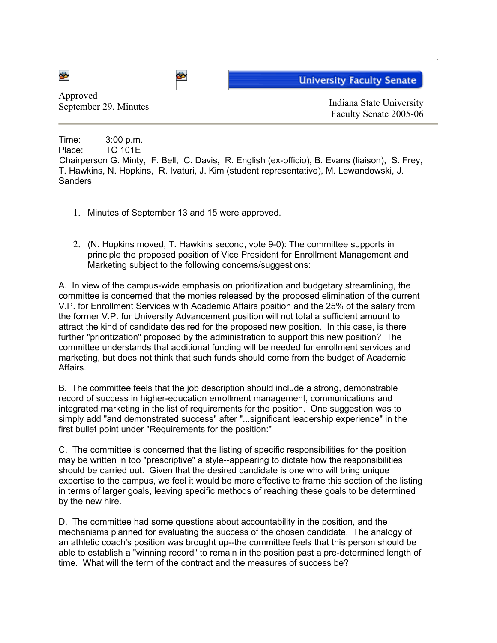| ♣                     |  | <b>University Faculty Senate</b>   |
|-----------------------|--|------------------------------------|
| Approved              |  | Indiana State University           |
| September 29, Minutes |  | $\sim$ $\sim$ $\sim$ $\sim$ $\sim$ |

Faculty Senate 2005-06

Time: 3:00 p.m. Place: TC 101E Chairperson G. Minty, F. Bell, C. Davis, R. English (ex-officio), B. Evans (liaison), S. Frey, T. Hawkins, N. Hopkins, R. Ivaturi, J. Kim (student representative), M. Lewandowski, J. **Sanders** 

- 1. Minutes of September 13 and 15 were approved.
- 2. (N. Hopkins moved, T. Hawkins second, vote 9-0): The committee supports in principle the proposed position of Vice President for Enrollment Management and Marketing subject to the following concerns/suggestions:

A. In view of the campus-wide emphasis on prioritization and budgetary streamlining, the committee is concerned that the monies released by the proposed elimination of the current V.P. for Enrollment Services with Academic Affairs position and the 25% of the salary from the former V.P. for University Advancement position will not total a sufficient amount to attract the kind of candidate desired for the proposed new position. In this case, is there further "prioritization" proposed by the administration to support this new position? The committee understands that additional funding will be needed for enrollment services and marketing, but does not think that such funds should come from the budget of Academic Affairs.

B. The committee feels that the job description should include a strong, demonstrable record of success in higher-education enrollment management, communications and integrated marketing in the list of requirements for the position. One suggestion was to simply add "and demonstrated success" after "...significant leadership experience" in the first bullet point under "Requirements for the position:"

C. The committee is concerned that the listing of specific responsibilities for the position may be written in too "prescriptive" a style--appearing to dictate how the responsibilities should be carried out. Given that the desired candidate is one who will bring unique expertise to the campus, we feel it would be more effective to frame this section of the listing in terms of larger goals, leaving specific methods of reaching these goals to be determined by the new hire.

D. The committee had some questions about accountability in the position, and the mechanisms planned for evaluating the success of the chosen candidate. The analogy of an athletic coach's position was brought up--the committee feels that this person should be able to establish a "winning record" to remain in the position past a pre-determined length of time. What will the term of the contract and the measures of success be?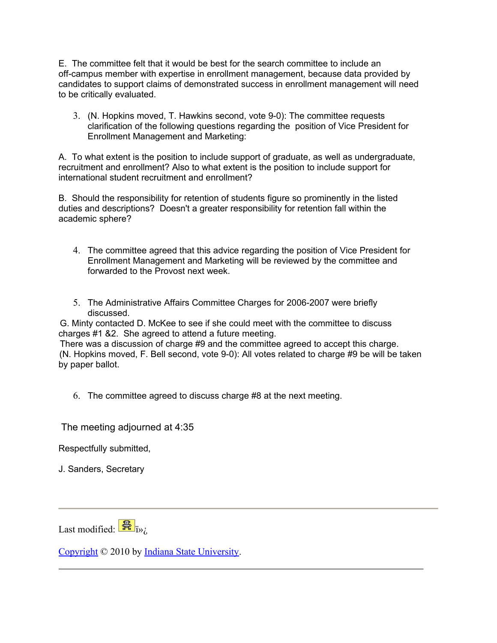E. The committee felt that it would be best for the search committee to include an off-campus member with expertise in enrollment management, because data provided by candidates to support claims of demonstrated success in enrollment management will need to be critically evaluated.

3. (N. Hopkins moved, T. Hawkins second, vote 9-0): The committee requests clarification of the following questions regarding the position of Vice President for Enrollment Management and Marketing:

A. To what extent is the position to include support of graduate, as well as undergraduate, recruitment and enrollment? Also to what extent is the position to include support for international student recruitment and enrollment?

B. Should the responsibility for retention of students figure so prominently in the listed duties and descriptions? Doesn't a greater responsibility for retention fall within the academic sphere?

- 4. The committee agreed that this advice regarding the position of Vice President for Enrollment Management and Marketing will be reviewed by the committee and forwarded to the Provost next week.
- 5. The Administrative Affairs Committee Charges for 2006-2007 were briefly discussed.

G. Minty contacted D. McKee to see if she could meet with the committee to discuss charges #1 &2. She agreed to attend a future meeting.

There was a discussion of charge #9 and the committee agreed to accept this charge. (N. Hopkins moved, F. Bell second, vote 9-0): All votes related to charge #9 be will be taken by paper ballot.

6. The committee agreed to discuss charge #8 at the next meeting.

The meeting adjourned at 4:35

Respectfully submitted,

J. Sanders, Secretary

Last modified:  $\frac{1}{\mathbb{R}}$  i»;

[Copyright](http://www.indstate.edu/copyright/) © 2010 by [Indiana State University](http://www.indstate.edu/facsenate/AAC_miutes_2005_06_September29.htm).